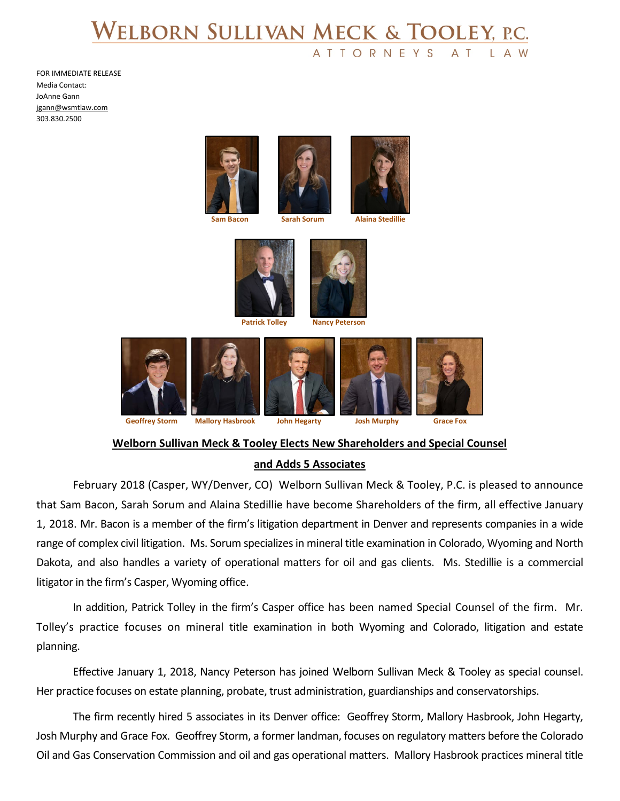## WELBORN SULLIVAN MECK & TOOLEY, P.C. **ATTORNEYS**

FOR IMMEDIATE RELEASE Media Contact: JoAnne Gann [jgann@wsmtlaw.com](mailto:jgann@wsmtlaw.com) 303.830.2500





**Patrick Tolley Nancy Peterson**



## **Welborn Sullivan Meck & Tooley Elects New Shareholders and Special Counsel**

## **and Adds 5 Associates**

February 2018 (Casper, WY/Denver, CO) Welborn Sullivan Meck & Tooley, P.C. is pleased to announce that Sam Bacon, Sarah Sorum and Alaina Stedillie have become Shareholders of the firm, all effective January 1, 2018. Mr. Bacon is a member of the firm's litigation department in Denver and represents companies in a wide range of complex civil litigation. Ms. Sorum specializes in mineral title examination in Colorado, Wyoming and North Dakota, and also handles a variety of operational matters for oil and gas clients. Ms. Stedillie is a commercial litigator in the firm's Casper, Wyoming office.

In addition, Patrick Tolley in the firm's Casper office has been named Special Counsel of the firm. Mr. Tolley's practice focuses on mineral title examination in both Wyoming and Colorado, litigation and estate planning.

Effective January 1, 2018, Nancy Peterson has joined Welborn Sullivan Meck & Tooley as special counsel. Her practice focuses on estate planning, probate, trust administration, guardianships and conservatorships.

The firm recently hired 5 associates in its Denver office: Geoffrey Storm, Mallory Hasbrook, John Hegarty, Josh Murphy and Grace Fox. Geoffrey Storm, a former landman, focuses on regulatory matters before the Colorado Oil and Gas Conservation Commission and oil and gas operational matters. Mallory Hasbrook practices mineral title